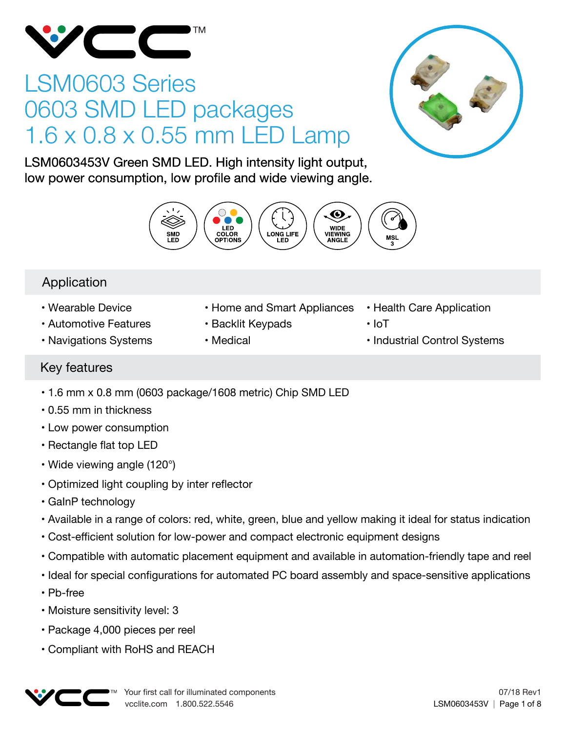

# LSM0603 Series 0603 SMD LED packages 1.6 x 0.8 x 0.55 mm LED Lamp



LSM0603453V Green SMD LED. High intensity light output, low power consumption, low profile and wide viewing angle.



# Application

- Wearable Device
- Automotive Features
- Navigations Systems
- Home and Smart Appliances
- Backlit Keypads
- Medical
- Health Care Application
- IoT
- Industrial Control Systems

# Key features

- 1.6 mm x 0.8 mm (0603 package/1608 metric) Chip SMD LED
- 0.55 mm in thickness
- Low power consumption
- Rectangle flat top LED
- Wide viewing angle (120°)
- Optimized light coupling by inter reflector
- GaInP technology
- Available in a range of colors: red, white, green, blue and yellow making it ideal for status indication
- Cost-efficient solution for low-power and compact electronic equipment designs
- Compatible with automatic placement equipment and available in automation-friendly tape and reel
- Ideal for special configurations for automated PC board assembly and space-sensitive applications
- Pb-free
- Moisture sensitivity level: 3
- Package 4,000 pieces per reel
- Compliant with RoHS and REACH

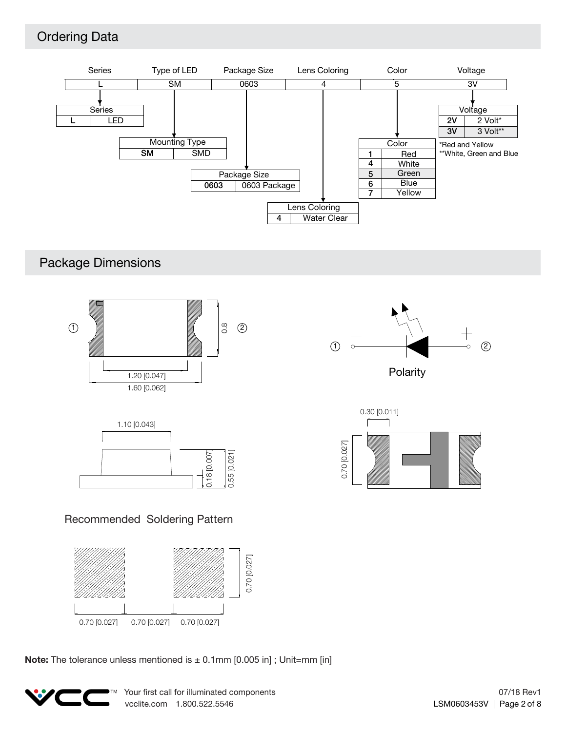# Ordering Data



# Package Dimensions







### Recommended Soldering Pattern



**Note:** The tolerance unless mentioned is  $\pm$  0.1mm [0.005 in]; Unit=mm [in]

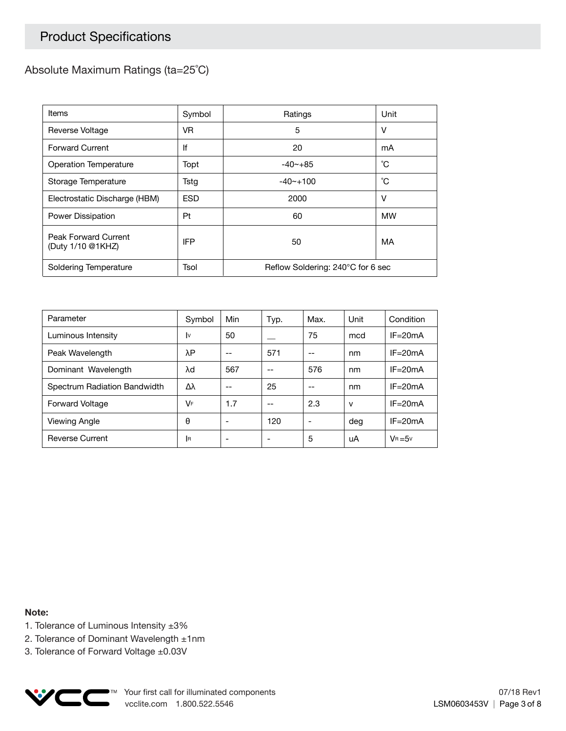# Product Specifications

### Absolute Maximum Ratings (ta=25˚C)

| Items                                     | Symbol     | Ratings                           | Unit      |  |
|-------------------------------------------|------------|-----------------------------------|-----------|--|
| Reverse Voltage                           | VR.        | 5                                 | v         |  |
| <b>Forward Current</b>                    | lf         | 20                                | mA        |  |
| Operation Temperature                     | Topt       | $-40 - +85$                       | °С        |  |
| Storage Temperature                       | Tstg       | $-40$ $-100$                      | °С        |  |
| Electrostatic Discharge (HBM)             | <b>ESD</b> | 2000                              | v         |  |
| Power Dissipation                         | Pt         | 60                                | <b>MW</b> |  |
| Peak Forward Current<br>(Duty 1/10 @1KHZ) | <b>IFP</b> | 50                                | MA        |  |
| Soldering Temperature                     | Tsol       | Reflow Soldering: 240°C for 6 sec |           |  |

| Parameter                    | Symbol   | Min | Typ. | Max. | Unit | Condition   |
|------------------------------|----------|-----|------|------|------|-------------|
| Luminous Intensity           | I٧       | 50  |      | 75   | mcd  | $IF = 20mA$ |
| Peak Wavelength              | λΡ       | --  | 571  | --   | nm   | $IF = 20mA$ |
| Dominant Wavelength          | λd       | 567 | --   | 576  | nm   | $IF = 20mA$ |
| Spectrum Radiation Bandwidth | Δλ       |     | 25   |      | nm   | $IF = 20mA$ |
| <b>Forward Voltage</b>       | VF       | 1.7 | --   | 2.3  | v    | $IF = 20mA$ |
| Viewing Angle                | θ        |     | 120  | ٠    | deg  | $IF = 20mA$ |
| <b>Reverse Current</b>       | <b>R</b> |     |      | 5    | uA   | $V_B = 5V$  |

**Note:**

- 1. Tolerance of Luminous Intensity ±3%
- 2. Tolerance of Dominant Wavelength ±1nm
- 3. Tolerance of Forward Voltage ±0.03V

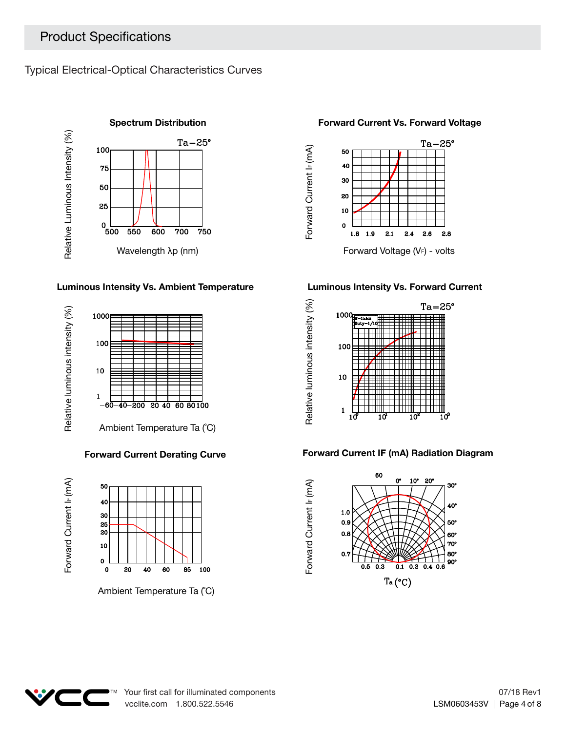Typical Electrical-Optical Characteristics Curves



### **Luminous Intensity Vs. Ambient Temperature Luminous Intensity Vs. Forward Current**



### **Forward Current Derating Curve**



Ambient Temperature Ta (˚C)





Forward Current I<sub>F</sub> (mA)



### **Forward Current IF (mA) Radiation Diagram**





85 100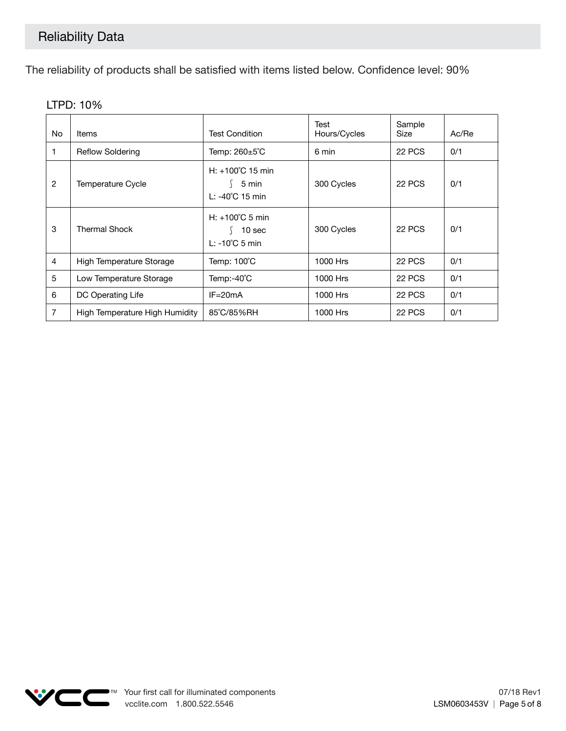The reliability of products shall be satisfied with items listed below. Confidence level: 90%

| No.            | <b>Items</b>                   | <b>Test Condition</b>                                                     | Test<br>Hours/Cycles | Sample<br>Size | Ac/Re |
|----------------|--------------------------------|---------------------------------------------------------------------------|----------------------|----------------|-------|
|                | <b>Reflow Soldering</b>        | Temp: 260±5°C                                                             | 6 min                | 22 PCS         | 0/1   |
| $\overline{2}$ | <b>Temperature Cycle</b>       | $H: +100^{\circ}C$ 15 min<br>5 min<br>L: -40°C 15 min                     | 300 Cycles           | 22 PCS         | 0/1   |
| 3              | <b>Thermal Shock</b>           | $H: +100^{\circ}$ C 5 min<br>10 <sub>sec</sub><br>$L: -10^{\circ}C$ 5 min | 300 Cycles           | 22 PCS         | 0/1   |
| 4              | High Temperature Storage       | Temp: 100°C                                                               | 1000 Hrs             | 22 PCS         | 0/1   |
| 5              | Low Temperature Storage        | Temp:-40°C                                                                | 1000 Hrs             | <b>22 PCS</b>  | 0/1   |
| 6              | DC Operating Life              | $IF = 20mA$                                                               | 1000 Hrs             | 22 PCS         | 0/1   |
| 7              | High Temperature High Humidity | 85°C/85%RH                                                                | 1000 Hrs             | 22 PCS         | 0/1   |

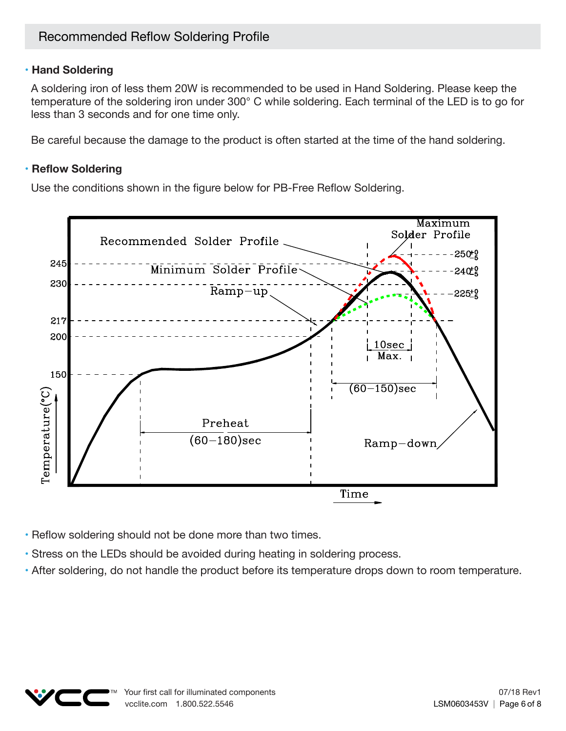### **• Hand Soldering**

A soldering iron of less them 20W is recommended to be used in Hand Soldering. Please keep the temperature of the soldering iron under 300° C while soldering. Each terminal of the LED is to go for less than 3 seconds and for one time only.

Be careful because the damage to the product is often started at the time of the hand soldering.

### **• Reflow Soldering**

Use the conditions shown in the figure below for PB-Free Reflow Soldering.



- Reflow soldering should not be done more than two times.
- Stress on the LEDs should be avoided during heating in soldering process.
- After soldering, do not handle the product before its temperature drops down to room temperature.

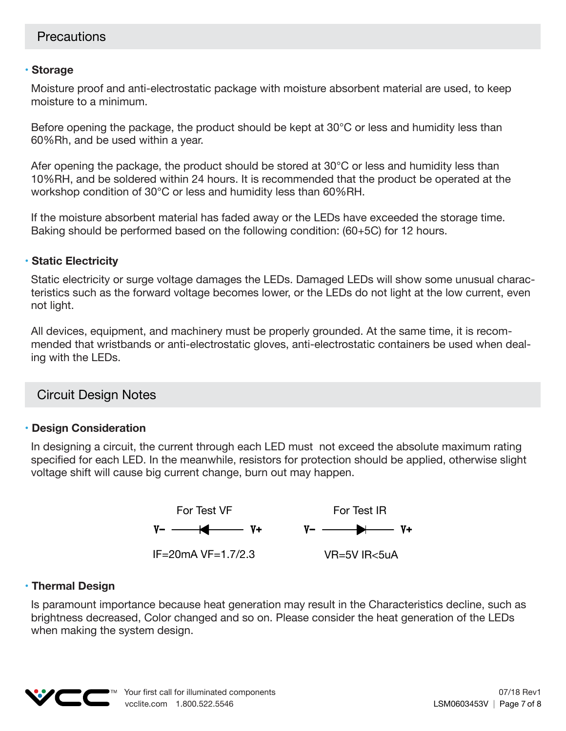### **• Storage**

Moisture proof and anti-electrostatic package with moisture absorbent material are used, to keep moisture to a minimum.

Before opening the package, the product should be kept at 30°C or less and humidity less than 60%Rh, and be used within a year.

Afer opening the package, the product should be stored at 30°C or less and humidity less than 10%RH, and be soldered within 24 hours. It is recommended that the product be operated at the workshop condition of 30°C or less and humidity less than 60%RH.

If the moisture absorbent material has faded away or the LEDs have exceeded the storage time. Baking should be performed based on the following condition: (60+5C) for 12 hours.

### **• Static Electricity**

Static electricity or surge voltage damages the LEDs. Damaged LEDs will show some unusual characteristics such as the forward voltage becomes lower, or the LEDs do not light at the low current, even not light.

All devices, equipment, and machinery must be properly grounded. At the same time, it is recommended that wristbands or anti-electrostatic gloves, anti-electrostatic containers be used when dealing with the LEDs.

## Circuit Design Notes

### **• Design Consideration**

In designing a circuit, the current through each LED must not exceed the absolute maximum rating specified for each LED. In the meanwhile, resistors for protection should be applied, otherwise slight voltage shift will cause big current change, burn out may happen.



### **• Thermal Design**

Is paramount importance because heat generation may result in the Characteristics decline, such as brightness decreased, Color changed and so on. Please consider the heat generation of the LEDs when making the system design.